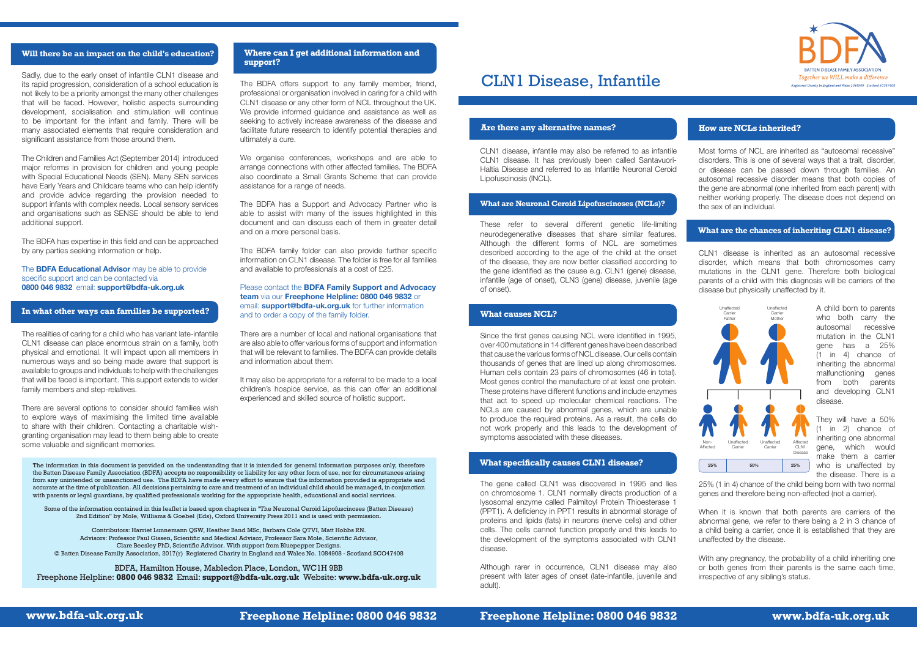**www.bdfa-uk.org.uk Freephone Helpline: 0800 046 9832 Freephone Helpline: 0800 046 9832 www.bdfa-uk.org.uk**



# CLN1 Disease, Infantile

#### **Are there any alternative names? How are NCLs inherited?**

The information in this document is provided on the understanding that it is intended for general information purposes only, therefore the Batten Disease Family Association (BDFA) accepts no responsibility or liability for any other form of use, nor for circumstances arising from any unintended or unsanctioned use. The BDFA have made every effort to ensure that the information provided is appropriate and accurate at the time of publication. All decisions pertaining to care and treatment of an individual child should be managed, in conjunction with parents or legal guardians, by qualified professionals working for the appropriate health, educational and social services.

Some of the information contained in this leaflet is based upon chapters in "The Neuronal Ceroid Lipofuscinoses (Batten Disease) 2nd Edition" by Mole, Williams & Goebel (Eds), Oxford University Press 2011 and is used with permission.

Contributors: Harriet Lunnemann QSW, Heather Band MSc, Barbara Cole QTVI, Matt Hobbs RN. Advisors: Professor Paul Gissen, Scientific and Medical Advisor, Professor Sara Mole, Scientific Advisor, Clare Beesley PhD, Scientific Advisor. With support from Bluepepper Designs. © Batten Disease Family Association, 2017(r) Registered Charity in England and Wales No. 1084908 - Scotland SCO47408

BDFA, Hamilton House, Mabledon Place, London, WC1H 9BB Freephone Helpline: **0800 046 9832** Email: **support@bdfa-uk.org.uk** Website: **www.bdfa-uk.org.uk**

### **What specifically causes CLN1 disease?**

# **What causes NCL?**

CLN1 disease, infantile may also be referred to as infantile CLN1 disease. It has previously been called Santavuori-Haltia Disease and referred to as Infantile Neuronal Ceroid Lipofuscinosis (INCL).

These refer to several different genetic life-limiting neurodegenerative diseases that share similar features. Although the different forms of NCL are sometimes described according to the age of the child at the onset of the disease, they are now better classified according to the gene identified as the cause e.g. CLN1 (gene) disease, infantile (age of onset), CLN3 (gene) disease, juvenile (age of onset).

> With any pregnancy, the probability of a child inheriting one or both genes from their parents is the same each time, irrespective of any sibling's status.

Since the first genes causing NCL were identified in 1995, over 400 mutations in 14 different genes have been described that cause the various forms of NCL disease. Our cells contain thousands of genes that are lined up along chromosomes. Human cells contain 23 pairs of chromosomes (46 in total). Most genes control the manufacture of at least one protein. These proteins have different functions and include enzymes that act to speed up molecular chemical reactions. The NCLs are caused by abnormal genes, which are unable to produce the required proteins. As a result, the cells do not work properly and this leads to the development of symptoms associated with these diseases.

The gene called CLN1 was discovered in 1995 and lies on chromosome 1. CLN1 normally directs production of a lysosomal enzyme called Palmitoyl Protein Thioesterase 1 (PPT1). A deficiency in PPT1 results in abnormal storage of proteins and lipids (fats) in neurons (nerve cells) and other cells. The cells cannot function properly and this leads to the development of the symptoms associated with CLN1 disease.

Although rarer in occurrence, CLN1 disease may also present with later ages of onset (late-infantile, juvenile and adult).

Most forms of NCL are inherited as "autosomal recessive" disorders. This is one of several ways that a trait, disorder, or disease can be passed down through families. An autosomal recessive disorder means that both copies of the gene are abnormal (one inherited from each parent) with neither working properly. The disease does not depend on the sex of an individual.

We organise conferences, workshops and are able to arrange connections with other affected families. The BDFA also coordinate a Small Grants Scheme that can provide assistance for a range of needs.

> CLN1 disease is inherited as an autosomal recessive disorder, which means that both chromosomes carry mutations in the CLN1 gene. Therefore both biological parents of a child with this diagnosis will be carriers of the disease but physically unaffected by it.

> > A child born to parents who both carry the autosomal recessive mutation in the CLN1 gene has a 25% (1 in 4) chance of inheriting the abnormal malfunctioning genes from both parents and developing CLN1 disease.

> > They will have a 50% (1 in 2) chance of inheriting one abnormal gene, which would make them a carrier who is unaffected by the disease. There is a

25% (1 in 4) chance of the child being born with two normal genes and therefore being non-affected (not a carrier).

When it is known that both parents are carriers of the abnormal gene, we refer to there being a 2 in 3 chance of a child being a carrier, once it is established that they are unaffected by the disease.



Sadly, due to the early onset of infantile CLN1 disease and its rapid progression, consideration of a school education is not likely to be a priority amongst the many other challenges that will be faced. However, holistic aspects surrounding development, socialisation and stimulation will continue to be important for the infant and family. There will be many associated elements that require consideration and significant assistance from those around them.

The Children and Families Act (September 2014) introduced major reforms in provision for children and young people with Special Educational Needs (SEN). Many SEN services have Early Years and Childcare teams who can help identify and provide advice regarding the provision needed to support infants with complex needs. Local sensory services and organisations such as SENSE should be able to lend additional support.

The BDFA has expertise in this field and can be approached by any parties seeking information or help.

The **BDFA Educational Advisor** may be able to provide specific support and can be contacted via **0800 046 9832** email: **support@bdfa-uk.org.uk**

The realities of caring for a child who has variant late-infantile CLN1 disease can place enormous strain on a family, both physical and emotional. It will impact upon all members in numerous ways and so being made aware that support is available to groups and individuals to help with the challenges that will be faced is important. This support extends to wider family members and step-relatives.

There are several options to consider should families wish to explore ways of maximising the limited time available to share with their children. Contacting a charitable wishgranting organisation may lead to them being able to create some valuable and significant memories.

The BDFA offers support to any family member, friend, professional or organisation involved in caring for a child with CLN1 disease or any other form of NCL throughout the UK. We provide informed guidance and assistance as well as seeking to actively increase awareness of the disease and facilitate future research to identify potential therapies and ultimately a cure.

The BDFA has a Support and Advocacy Partner who is able to assist with many of the issues highlighted in this document and can discuss each of them in greater detail and on a more personal basis.

The BDFA family folder can also provide further specific information on CLN1 disease. The folder is free for all families and available to professionals at a cost of £25.

Please contact the **BDFA Family Support and Advocacy team** via our **Freephone Helpline: 0800 046 9832** or email: **support@bdfa-uk.org.uk** for further information and to order a copy of the family folder.

There are a number of local and national organisations that are also able to offer various forms of support and information that will be relevant to families. The BDFA can provide details and information about them.

It may also be appropriate for a referral to be made to a local children's hospice service, as this can offer an additional experienced and skilled source of holistic support.

### **In what other ways can families be supported?**

# **Will there be an impact on the child's education? Where can I get additional information and support?**

# **What are the chances of inheriting CLN1 disease?**

### **What are Neuronal Ceroid Lipofuscinoses (NCLs)?**